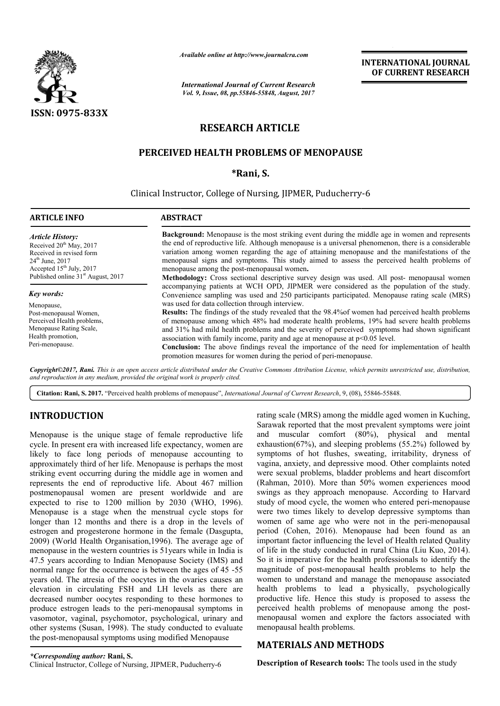

*Available online at http://www.journal http://www.journalcra.com*

*International Journal of Current Research Vol. 9, Issue, 08, pp.55846-55848, August, 2017*

**INTERNATIONAL JOURNAL OF CURRENT RESEARCH** 

# **RESEARCH ARTICLE**

## **PERCEIVED HEALTH PROBLEMS OF MENOPAUSE**

### **\*Rani, S.**

## Clinical Instructor, College of Nursing, JIPMER, Puducherry-6

| <b>ARTICLE INFO</b>                                                                                                                                                                               | <b>ABSTRACT</b>                                                                                                                                                                                                                                                                                                                                                                                                                                                                                                                                                       |  |
|---------------------------------------------------------------------------------------------------------------------------------------------------------------------------------------------------|-----------------------------------------------------------------------------------------------------------------------------------------------------------------------------------------------------------------------------------------------------------------------------------------------------------------------------------------------------------------------------------------------------------------------------------------------------------------------------------------------------------------------------------------------------------------------|--|
| <b>Article History:</b><br>Received $20th$ May, 2017<br>Received in revised form<br>$24^{\text{th}}$ June, $2017$<br>Accepted $15th$ July, 2017<br>Published online 31 <sup>st</sup> August, 2017 | <b>Background:</b> Menopause is the most striking event during the middle age in women and represents<br>the end of reproductive life. Although menopause is a universal phenomenon, there is a considerable<br>variation among women regarding the age of attaining menopause and the manifestations of the<br>menopausal signs and symptoms. This study aimed to assess the perceived health problems of<br>menopause among the post-menopausal women.                                                                                                              |  |
|                                                                                                                                                                                                   | Methodology: Cross sectional descriptive survey design was used. All post- menopausal women                                                                                                                                                                                                                                                                                                                                                                                                                                                                           |  |
| Key words:                                                                                                                                                                                        | accompanying patients at WCH OPD, JIPMER were considered as the population of the study.<br>Convenience sampling was used and 250 participants participated. Menopause rating scale (MRS)                                                                                                                                                                                                                                                                                                                                                                             |  |
| Menopause,                                                                                                                                                                                        | was used for data collection through interview.                                                                                                                                                                                                                                                                                                                                                                                                                                                                                                                       |  |
| Post-menopausal Women,<br>Perceived Health problems,<br>Menopause Rating Scale,<br>Health promotion,<br>Peri-menopause.                                                                           | <b>Results:</b> The findings of the study revealed that the 98.4% of women had perceived health problems<br>of menopause among which 48% had moderate health problems, 19% had severe health problems<br>and 31% had mild health problems and the severity of perceived symptoms had shown significant<br>association with family income, parity and age at menopause at $p<0.05$ level.<br><b>Conclusion:</b> The above findings reveal the importance of the need for implementation of health<br>promotion measures for women during the period of peri-menopause. |  |

*Copyright©2017, Rani. This is an open access article distributed under the Creative Commons Att Attribution License, which ribution which permits unrestricted use, distribution, and reproduction in any medium, provided the original work is properly cited.*

Citation: Rani, S. 2017. "Perceived health problems of menopause", *International Journal of Current Research*, 9, (08), 55846-55848.

## **INTRODUCTION**

Menopause is the unique stage of female reproductive life cycle. In present era with increased life expectancy, women are likely to face long periods of menopause accounting to approximately third of her life. Menopause is perhaps the most striking event occurring during the middle age in women and represents the end of reproductive life. About 467 million postmenopausal women are present worldwide and are expected to rise to 1200 million by 2030 (WHO, 1996). Menopause is a stage when the menstrual cycle stops for longer than 12 months and there is a drop in the levels of estrogen and progesterone hormone in the female (Dasgupta, 2009) (World Health Organisation,1996). The average age of menopause in the western countries is 51years while in India is 47.5 years according to Indian Menopause Society (IMS) and normal range for the occurrence is between the ages of 45 -55 years old. The atresia of the oocytes in the ovaries causes an elevation in circulating FSH and LH levels as there are decreased number oocytes responding to these hormones to produce estrogen leads to the peri-menopausal symptoms in vasomotor, vaginal, psychomotor, psychological, urinary and other systems (Susan, 1998). The study conducted to evaluate the post-menopausal symptoms using modified Menopause ern countries is 51 years while in India is<br>o Indian Menopause Society (IMS) and<br>ccurrence is between the ages of 45 -55 menopausal symptoms in<br>sychological, urinary and<br>udy conducted to evaluate rating scale (MRS) among the middle aged women in Kuching, rating scale (MRS) among the middle aged women in Kuching, Sarawak reported that the most prevalent symptoms were joint and muscular comfort (80%), physical and mental exhaustion(67%), and sleeping problems (55.2%) followed by symptoms of hot flushes, sweating, irritability, dryness of vagina, anxiety, and depressive mood. Other complaints noted were sexual problems, bladder problems and heart discomfort (Rahman, 2010). More than 50% women experiences mood swings as they approach menopause. According to Harvard swings as they approach menopause. According to Harvard<br>study of mood cycle, the women who entered peri-menopause were two times likely to develop depressive symptoms than were two times likely to develop depressive symptoms than women of same age who were not in the peri-menopausal period (Cohen, 2016). Menopause had been found as an important factor influencing the level of Health related Quality of life in the study conducted in rural China (Liu Kuo, 2014). So it is imperative for the health professionals to identify the magnitude of post-menopausal health problems to help the women to understand and manage the menopause associated health problems to lead a physically, psychologically productive life. Hence this study is proposed to assess the perceived health problems of menopause among the post menopausal women and explore the factors associated with menopausal health problems. (Cohen, 2016). Menopause had been found as an ant factor influencing the level of Health related Quality in the study conducted in rural China (Liu Kuo, 2014). is imperative for the health professionals to identify the itude of post-menopausal health problems to help the menopause associated problems to lead a physically, psychologically citive life. Hence this study is proposed

## **MATERIALS AND METHODS METHODS**

**Description of Research tools:** The tools used in the study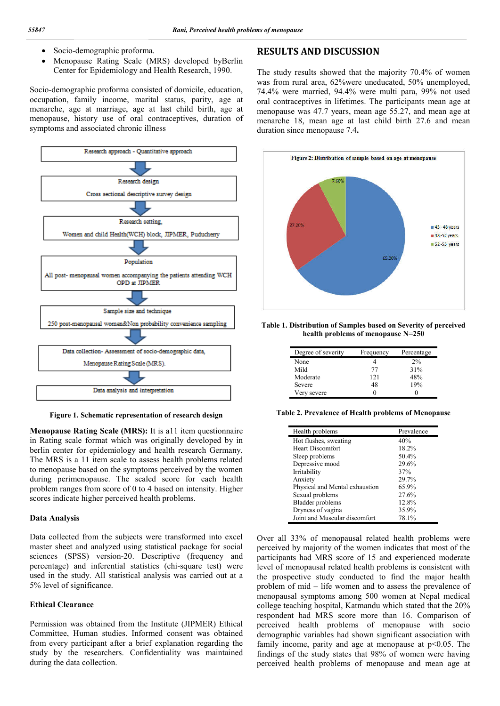- Socio-demographic proforma.
- Menopause Rating Scale (MRS) developed byBerlin Center for Epidemiology and Health Research, 1990.

Socio-demographic proforma consisted of domicile, education, occupation, family income, marital status, parity, age at menarche, age at marriage, age at last child birth, age at menopause, history use of oral contraceptives, duration of symptoms and associated chronic illness



**Figure 1. Schematic representation of research design**

**Menopause Rating Scale (MRS):** It is all item questionnaire in Rating scale format which was originally developed by in berlin center for epidemiology and health research Germany. The MRS is a 11 item scale to assess health problems related to menopause based on the symptoms perceived by the women during perimenopause. The scaled score for each health problem ranges from score of 0 to 4 based on intensity. Higher scores indicate higher perceived health problems.

### **Data Analysis**

Data collected from the subjects were transformed into excel master sheet and analyzed using statistical package for social sciences (SPSS) version-20. Descriptive (frequency and percentage) and inferential statistics (chi-square test) were used in the study. All statistical analysis was carried out at a 5% level of significance.

#### **Ethical Clearance**

Permission was obtained from the Institute (JIPMER) Ethical Committee, Human studies. Informed consent was obtained from every participant after a brief explanation regarding the study by the researchers. Confidentiality was maintained during the data collection.

## **RESULTS AND DISCUSSION**

The study results showed that the majority 70.4% of women was from rural area, 62%were uneducated, 50% unemployed, 74.4% were married, 94.4% were multi para, 99% not used oral contraceptives in lifetimes. The participants mean age at menopause was 47.7 years, mean age 55.27, and mean age at menarche 18, mean age at last child birth 27.6 and mean duration since menopause 7.4**.**



**Table 1. Distribution of Samples based on Severity of perceived health problems of menopause N=250**

| Degree of severity | Frequency | Percentage |
|--------------------|-----------|------------|
| None               |           | 2%         |
| Mild               | 77        | 31%        |
| Moderate           | 121       | 48%        |
| Severe             | 48        | 19%        |
| Very severe        |           |            |

**Table 2. Prevalence of Health problems of Menopause**

| Health problems                | Prevalence |
|--------------------------------|------------|
| Hot flushes, sweating          | 40%        |
| <b>Heart Discomfort</b>        | 18.2%      |
| Sleep problems                 | 50.4%      |
| Depressive mood                | 29.6%      |
| Irritability                   | 37%        |
| Anxiety                        | 29.7%      |
| Physical and Mental exhaustion | 65.9%      |
| Sexual problems                | 27.6%      |
| Bladder problems               | 12.8%      |
| Dryness of vagina              | 35.9%      |
| Joint and Muscular discomfort  | 78.1%      |

Over all 33% of menopausal related health problems were perceived by majority of the women indicates that most of the participants had MRS score of 15 and experienced moderate level of menopausal related health problems is consistent with the prospective study conducted to find the major health problem of mid – life women and to assess the prevalence of menopausal symptoms among 500 women at Nepal medical college teaching hospital, Katmandu which stated that the 20% respondent had MRS score more than 16. Comparison of perceived health problems of menopause with socio demographic variables had shown significant association with family income, parity and age at menopause at  $p<0.05$ . The findings of the study states that 98% of women were having perceived health problems of menopause and mean age at